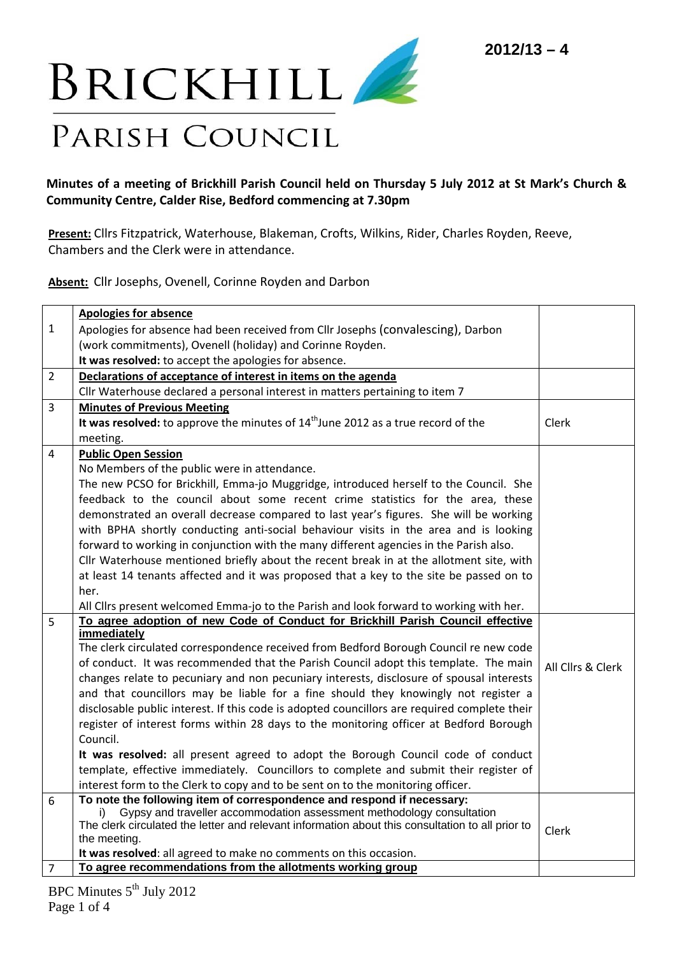

## Minutes of a meeting of Brickhill Parish Council held on Thursday 5 July 2012 at St Mark's Church & **Community Centre, Calder Rise, Bedford commencing at 7.30pm**

**Present:** Cllrs Fitzpatrick, Waterhouse, Blakeman, Crofts, Wilkins, Rider, Charles Royden, Reeve, Chambers and the Clerk were in attendance.

**Absent:** Cllr Josephs, Ovenell, Corinne Royden and Darbon

|                | <b>Apologies for absence</b>                                                                     |                   |
|----------------|--------------------------------------------------------------------------------------------------|-------------------|
| $\mathbf{1}$   | Apologies for absence had been received from Cllr Josephs (convalescing), Darbon                 |                   |
|                | (work commitments), Ovenell (holiday) and Corinne Royden.                                        |                   |
|                | It was resolved: to accept the apologies for absence.                                            |                   |
| $\overline{2}$ | Declarations of acceptance of interest in items on the agenda                                    |                   |
|                |                                                                                                  |                   |
|                | Cllr Waterhouse declared a personal interest in matters pertaining to item 7                     |                   |
| 3              | <b>Minutes of Previous Meeting</b>                                                               |                   |
|                | It was resolved: to approve the minutes of 14 <sup>th</sup> June 2012 as a true record of the    | Clerk             |
|                | meeting.                                                                                         |                   |
| 4              | <b>Public Open Session</b>                                                                       |                   |
|                | No Members of the public were in attendance.                                                     |                   |
|                | The new PCSO for Brickhill, Emma-jo Muggridge, introduced herself to the Council. She            |                   |
|                | feedback to the council about some recent crime statistics for the area, these                   |                   |
|                | demonstrated an overall decrease compared to last year's figures. She will be working            |                   |
|                | with BPHA shortly conducting anti-social behaviour visits in the area and is looking             |                   |
|                | forward to working in conjunction with the many different agencies in the Parish also.           |                   |
|                | Cllr Waterhouse mentioned briefly about the recent break in at the allotment site, with          |                   |
|                | at least 14 tenants affected and it was proposed that a key to the site be passed on to          |                   |
|                | her.                                                                                             |                   |
|                | All Cllrs present welcomed Emma-jo to the Parish and look forward to working with her.           |                   |
| 5              | To agree adoption of new Code of Conduct for Brickhill Parish Council effective                  |                   |
|                | immediately                                                                                      |                   |
|                | The clerk circulated correspondence received from Bedford Borough Council re new code            |                   |
|                | of conduct. It was recommended that the Parish Council adopt this template. The main             | All Cllrs & Clerk |
|                | changes relate to pecuniary and non pecuniary interests, disclosure of spousal interests         |                   |
|                | and that councillors may be liable for a fine should they knowingly not register a               |                   |
|                | disclosable public interest. If this code is adopted councillors are required complete their     |                   |
|                | register of interest forms within 28 days to the monitoring officer at Bedford Borough           |                   |
|                | Council.                                                                                         |                   |
|                | It was resolved: all present agreed to adopt the Borough Council code of conduct                 |                   |
|                | template, effective immediately. Councillors to complete and submit their register of            |                   |
|                | interest form to the Clerk to copy and to be sent on to the monitoring officer.                  |                   |
| 6              | To note the following item of correspondence and respond if necessary:                           |                   |
|                | Gypsy and traveller accommodation assessment methodology consultation<br>i)                      |                   |
|                | The clerk circulated the letter and relevant information about this consultation to all prior to | Clerk             |
|                | the meeting.                                                                                     |                   |
|                | It was resolved: all agreed to make no comments on this occasion.                                |                   |
| 7              | To agree recommendations from the allotments working group                                       |                   |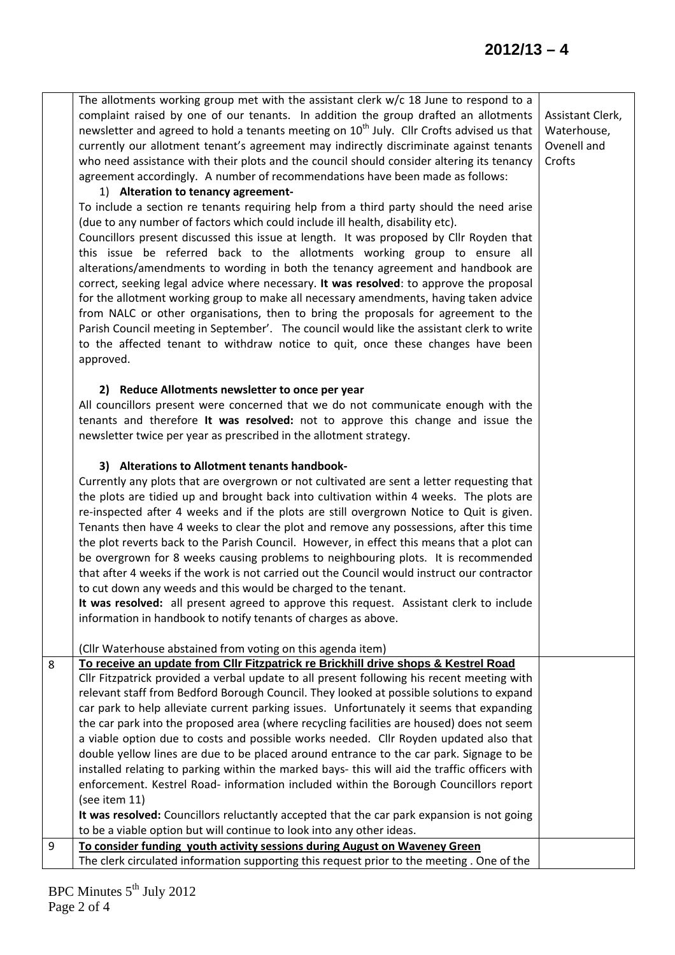|   | The allotments working group met with the assistant clerk $w/c$ 18 June to respond to a<br>complaint raised by one of our tenants. In addition the group drafted an allotments<br>newsletter and agreed to hold a tenants meeting on 10 <sup>th</sup> July. Cllr Crofts advised us that<br>currently our allotment tenant's agreement may indirectly discriminate against tenants<br>who need assistance with their plots and the council should consider altering its tenancy<br>agreement accordingly. A number of recommendations have been made as follows:<br>1) Alteration to tenancy agreement-<br>To include a section re tenants requiring help from a third party should the need arise<br>(due to any number of factors which could include ill health, disability etc).<br>Councillors present discussed this issue at length. It was proposed by Cllr Royden that<br>this issue be referred back to the allotments working group to ensure all<br>alterations/amendments to wording in both the tenancy agreement and handbook are<br>correct, seeking legal advice where necessary. It was resolved: to approve the proposal<br>for the allotment working group to make all necessary amendments, having taken advice<br>from NALC or other organisations, then to bring the proposals for agreement to the<br>Parish Council meeting in September'. The council would like the assistant clerk to write<br>to the affected tenant to withdraw notice to quit, once these changes have been<br>approved.<br>2) Reduce Allotments newsletter to once per year<br>All councillors present were concerned that we do not communicate enough with the<br>tenants and therefore It was resolved: not to approve this change and issue the<br>newsletter twice per year as prescribed in the allotment strategy.<br>3) Alterations to Allotment tenants handbook-<br>Currently any plots that are overgrown or not cultivated are sent a letter requesting that<br>the plots are tidied up and brought back into cultivation within 4 weeks. The plots are<br>re-inspected after 4 weeks and if the plots are still overgrown Notice to Quit is given.<br>Tenants then have 4 weeks to clear the plot and remove any possessions, after this time<br>the plot reverts back to the Parish Council. However, in effect this means that a plot can<br>be overgrown for 8 weeks causing problems to neighbouring plots. It is recommended<br>that after 4 weeks if the work is not carried out the Council would instruct our contractor<br>to cut down any weeds and this would be charged to the tenant.<br>It was resolved: all present agreed to approve this request. Assistant clerk to include<br>information in handbook to notify tenants of charges as above. | Assistant Clerk,<br>Waterhouse,<br>Ovenell and<br>Crofts |
|---|-----------------------------------------------------------------------------------------------------------------------------------------------------------------------------------------------------------------------------------------------------------------------------------------------------------------------------------------------------------------------------------------------------------------------------------------------------------------------------------------------------------------------------------------------------------------------------------------------------------------------------------------------------------------------------------------------------------------------------------------------------------------------------------------------------------------------------------------------------------------------------------------------------------------------------------------------------------------------------------------------------------------------------------------------------------------------------------------------------------------------------------------------------------------------------------------------------------------------------------------------------------------------------------------------------------------------------------------------------------------------------------------------------------------------------------------------------------------------------------------------------------------------------------------------------------------------------------------------------------------------------------------------------------------------------------------------------------------------------------------------------------------------------------------------------------------------------------------------------------------------------------------------------------------------------------------------------------------------------------------------------------------------------------------------------------------------------------------------------------------------------------------------------------------------------------------------------------------------------------------------------------------------------------------------------------------------------------------------------------------------------------------------------------------------------------------------------------------------------------------------------------------------------------------------------------------------------------------------------------------------------------------------------------------------------------------------------------------------------------------------------------------------------|----------------------------------------------------------|
|   | (Cllr Waterhouse abstained from voting on this agenda item)                                                                                                                                                                                                                                                                                                                                                                                                                                                                                                                                                                                                                                                                                                                                                                                                                                                                                                                                                                                                                                                                                                                                                                                                                                                                                                                                                                                                                                                                                                                                                                                                                                                                                                                                                                                                                                                                                                                                                                                                                                                                                                                                                                                                                                                                                                                                                                                                                                                                                                                                                                                                                                                                                                                 |                                                          |
| 8 | To receive an update from Cllr Fitzpatrick re Brickhill drive shops & Kestrel Road<br>Cllr Fitzpatrick provided a verbal update to all present following his recent meeting with                                                                                                                                                                                                                                                                                                                                                                                                                                                                                                                                                                                                                                                                                                                                                                                                                                                                                                                                                                                                                                                                                                                                                                                                                                                                                                                                                                                                                                                                                                                                                                                                                                                                                                                                                                                                                                                                                                                                                                                                                                                                                                                                                                                                                                                                                                                                                                                                                                                                                                                                                                                            |                                                          |
|   | relevant staff from Bedford Borough Council. They looked at possible solutions to expand                                                                                                                                                                                                                                                                                                                                                                                                                                                                                                                                                                                                                                                                                                                                                                                                                                                                                                                                                                                                                                                                                                                                                                                                                                                                                                                                                                                                                                                                                                                                                                                                                                                                                                                                                                                                                                                                                                                                                                                                                                                                                                                                                                                                                                                                                                                                                                                                                                                                                                                                                                                                                                                                                    |                                                          |
|   | car park to help alleviate current parking issues. Unfortunately it seems that expanding<br>the car park into the proposed area (where recycling facilities are housed) does not seem                                                                                                                                                                                                                                                                                                                                                                                                                                                                                                                                                                                                                                                                                                                                                                                                                                                                                                                                                                                                                                                                                                                                                                                                                                                                                                                                                                                                                                                                                                                                                                                                                                                                                                                                                                                                                                                                                                                                                                                                                                                                                                                                                                                                                                                                                                                                                                                                                                                                                                                                                                                       |                                                          |
|   | a viable option due to costs and possible works needed. Cllr Royden updated also that                                                                                                                                                                                                                                                                                                                                                                                                                                                                                                                                                                                                                                                                                                                                                                                                                                                                                                                                                                                                                                                                                                                                                                                                                                                                                                                                                                                                                                                                                                                                                                                                                                                                                                                                                                                                                                                                                                                                                                                                                                                                                                                                                                                                                                                                                                                                                                                                                                                                                                                                                                                                                                                                                       |                                                          |
|   | double yellow lines are due to be placed around entrance to the car park. Signage to be                                                                                                                                                                                                                                                                                                                                                                                                                                                                                                                                                                                                                                                                                                                                                                                                                                                                                                                                                                                                                                                                                                                                                                                                                                                                                                                                                                                                                                                                                                                                                                                                                                                                                                                                                                                                                                                                                                                                                                                                                                                                                                                                                                                                                                                                                                                                                                                                                                                                                                                                                                                                                                                                                     |                                                          |
|   | installed relating to parking within the marked bays- this will aid the traffic officers with                                                                                                                                                                                                                                                                                                                                                                                                                                                                                                                                                                                                                                                                                                                                                                                                                                                                                                                                                                                                                                                                                                                                                                                                                                                                                                                                                                                                                                                                                                                                                                                                                                                                                                                                                                                                                                                                                                                                                                                                                                                                                                                                                                                                                                                                                                                                                                                                                                                                                                                                                                                                                                                                               |                                                          |
|   | enforcement. Kestrel Road- information included within the Borough Councillors report                                                                                                                                                                                                                                                                                                                                                                                                                                                                                                                                                                                                                                                                                                                                                                                                                                                                                                                                                                                                                                                                                                                                                                                                                                                                                                                                                                                                                                                                                                                                                                                                                                                                                                                                                                                                                                                                                                                                                                                                                                                                                                                                                                                                                                                                                                                                                                                                                                                                                                                                                                                                                                                                                       |                                                          |
|   | (see item 11)                                                                                                                                                                                                                                                                                                                                                                                                                                                                                                                                                                                                                                                                                                                                                                                                                                                                                                                                                                                                                                                                                                                                                                                                                                                                                                                                                                                                                                                                                                                                                                                                                                                                                                                                                                                                                                                                                                                                                                                                                                                                                                                                                                                                                                                                                                                                                                                                                                                                                                                                                                                                                                                                                                                                                               |                                                          |
|   | It was resolved: Councillors reluctantly accepted that the car park expansion is not going                                                                                                                                                                                                                                                                                                                                                                                                                                                                                                                                                                                                                                                                                                                                                                                                                                                                                                                                                                                                                                                                                                                                                                                                                                                                                                                                                                                                                                                                                                                                                                                                                                                                                                                                                                                                                                                                                                                                                                                                                                                                                                                                                                                                                                                                                                                                                                                                                                                                                                                                                                                                                                                                                  |                                                          |
|   | to be a viable option but will continue to look into any other ideas.                                                                                                                                                                                                                                                                                                                                                                                                                                                                                                                                                                                                                                                                                                                                                                                                                                                                                                                                                                                                                                                                                                                                                                                                                                                                                                                                                                                                                                                                                                                                                                                                                                                                                                                                                                                                                                                                                                                                                                                                                                                                                                                                                                                                                                                                                                                                                                                                                                                                                                                                                                                                                                                                                                       |                                                          |
| 9 | To consider funding youth activity sessions during August on Waveney Green                                                                                                                                                                                                                                                                                                                                                                                                                                                                                                                                                                                                                                                                                                                                                                                                                                                                                                                                                                                                                                                                                                                                                                                                                                                                                                                                                                                                                                                                                                                                                                                                                                                                                                                                                                                                                                                                                                                                                                                                                                                                                                                                                                                                                                                                                                                                                                                                                                                                                                                                                                                                                                                                                                  |                                                          |
|   | The clerk circulated information supporting this request prior to the meeting . One of the                                                                                                                                                                                                                                                                                                                                                                                                                                                                                                                                                                                                                                                                                                                                                                                                                                                                                                                                                                                                                                                                                                                                                                                                                                                                                                                                                                                                                                                                                                                                                                                                                                                                                                                                                                                                                                                                                                                                                                                                                                                                                                                                                                                                                                                                                                                                                                                                                                                                                                                                                                                                                                                                                  |                                                          |
|   |                                                                                                                                                                                                                                                                                                                                                                                                                                                                                                                                                                                                                                                                                                                                                                                                                                                                                                                                                                                                                                                                                                                                                                                                                                                                                                                                                                                                                                                                                                                                                                                                                                                                                                                                                                                                                                                                                                                                                                                                                                                                                                                                                                                                                                                                                                                                                                                                                                                                                                                                                                                                                                                                                                                                                                             |                                                          |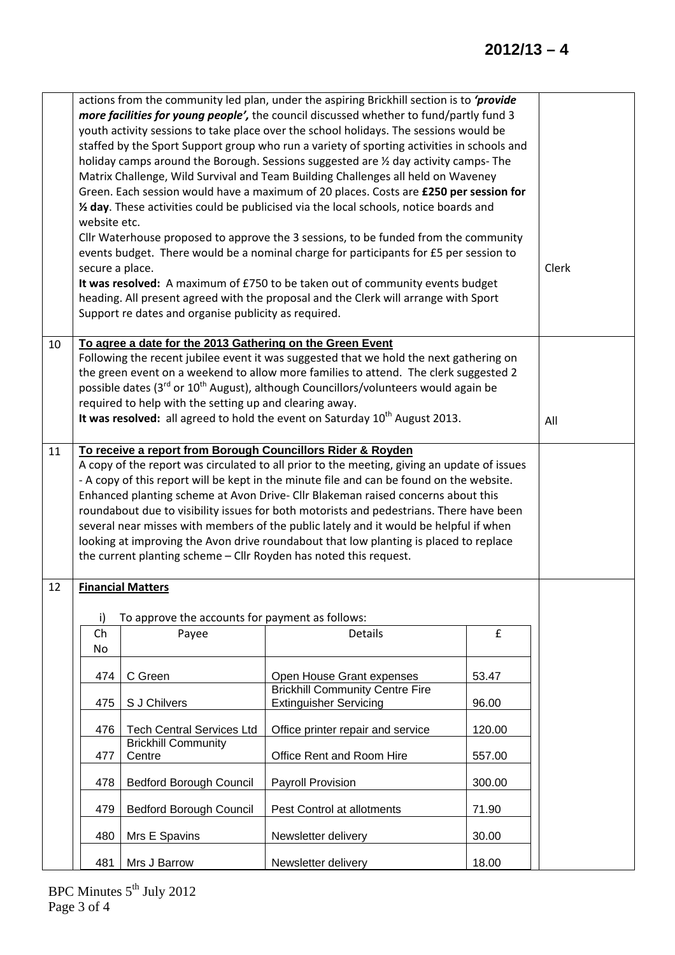## **2012/13 – 4**

|    | actions from the community led plan, under the aspiring Brickhill section is to 'provide<br>more facilities for young people', the council discussed whether to fund/partly fund 3<br>youth activity sessions to take place over the school holidays. The sessions would be<br>staffed by the Sport Support group who run a variety of sporting activities in schools and<br>holiday camps around the Borough. Sessions suggested are 1/2 day activity camps- The<br>Matrix Challenge, Wild Survival and Team Building Challenges all held on Waveney<br>Green. Each session would have a maximum of 20 places. Costs are £250 per session for<br>1/2 day. These activities could be publicised via the local schools, notice boards and<br>website etc.<br>Cllr Waterhouse proposed to approve the 3 sessions, to be funded from the community<br>events budget. There would be a nominal charge for participants for £5 per session to<br>secure a place.<br>It was resolved: A maximum of £750 to be taken out of community events budget<br>heading. All present agreed with the proposal and the Clerk will arrange with Sport<br>Support re dates and organise publicity as required. | Clerk                                                                                   |                                                                                                                                                                                                     |        |  |
|----|---------------------------------------------------------------------------------------------------------------------------------------------------------------------------------------------------------------------------------------------------------------------------------------------------------------------------------------------------------------------------------------------------------------------------------------------------------------------------------------------------------------------------------------------------------------------------------------------------------------------------------------------------------------------------------------------------------------------------------------------------------------------------------------------------------------------------------------------------------------------------------------------------------------------------------------------------------------------------------------------------------------------------------------------------------------------------------------------------------------------------------------------------------------------------------------------|-----------------------------------------------------------------------------------------|-----------------------------------------------------------------------------------------------------------------------------------------------------------------------------------------------------|--------|--|
| 10 | To agree a date for the 2013 Gathering on the Green Event<br>Following the recent jubilee event it was suggested that we hold the next gathering on                                                                                                                                                                                                                                                                                                                                                                                                                                                                                                                                                                                                                                                                                                                                                                                                                                                                                                                                                                                                                                         |                                                                                         |                                                                                                                                                                                                     |        |  |
|    |                                                                                                                                                                                                                                                                                                                                                                                                                                                                                                                                                                                                                                                                                                                                                                                                                                                                                                                                                                                                                                                                                                                                                                                             |                                                                                         | the green event on a weekend to allow more families to attend. The clerk suggested 2<br>possible dates (3 <sup>rd</sup> or 10 <sup>th</sup> August), although Councillors/volunteers would again be |        |  |
|    | required to help with the setting up and clearing away.                                                                                                                                                                                                                                                                                                                                                                                                                                                                                                                                                                                                                                                                                                                                                                                                                                                                                                                                                                                                                                                                                                                                     |                                                                                         |                                                                                                                                                                                                     |        |  |
|    | It was resolved: all agreed to hold the event on Saturday $10^{th}$ August 2013.                                                                                                                                                                                                                                                                                                                                                                                                                                                                                                                                                                                                                                                                                                                                                                                                                                                                                                                                                                                                                                                                                                            | All                                                                                     |                                                                                                                                                                                                     |        |  |
| 11 | To receive a report from Borough Councillors Rider & Royden                                                                                                                                                                                                                                                                                                                                                                                                                                                                                                                                                                                                                                                                                                                                                                                                                                                                                                                                                                                                                                                                                                                                 |                                                                                         |                                                                                                                                                                                                     |        |  |
|    |                                                                                                                                                                                                                                                                                                                                                                                                                                                                                                                                                                                                                                                                                                                                                                                                                                                                                                                                                                                                                                                                                                                                                                                             |                                                                                         | A copy of the report was circulated to all prior to the meeting, giving an update of issues<br>- A copy of this report will be kept in the minute file and can be found on the website.             |        |  |
|    | Enhanced planting scheme at Avon Drive- Cllr Blakeman raised concerns about this                                                                                                                                                                                                                                                                                                                                                                                                                                                                                                                                                                                                                                                                                                                                                                                                                                                                                                                                                                                                                                                                                                            |                                                                                         |                                                                                                                                                                                                     |        |  |
|    |                                                                                                                                                                                                                                                                                                                                                                                                                                                                                                                                                                                                                                                                                                                                                                                                                                                                                                                                                                                                                                                                                                                                                                                             | roundabout due to visibility issues for both motorists and pedestrians. There have been |                                                                                                                                                                                                     |        |  |
|    |                                                                                                                                                                                                                                                                                                                                                                                                                                                                                                                                                                                                                                                                                                                                                                                                                                                                                                                                                                                                                                                                                                                                                                                             |                                                                                         | several near misses with members of the public lately and it would be helpful if when<br>looking at improving the Avon drive roundabout that low planting is placed to replace                      |        |  |
|    |                                                                                                                                                                                                                                                                                                                                                                                                                                                                                                                                                                                                                                                                                                                                                                                                                                                                                                                                                                                                                                                                                                                                                                                             |                                                                                         | the current planting scheme - Cllr Royden has noted this request.                                                                                                                                   |        |  |
| 12 | <b>Financial Matters</b>                                                                                                                                                                                                                                                                                                                                                                                                                                                                                                                                                                                                                                                                                                                                                                                                                                                                                                                                                                                                                                                                                                                                                                    |                                                                                         |                                                                                                                                                                                                     |        |  |
|    | i)                                                                                                                                                                                                                                                                                                                                                                                                                                                                                                                                                                                                                                                                                                                                                                                                                                                                                                                                                                                                                                                                                                                                                                                          | To approve the accounts for payment as follows:                                         |                                                                                                                                                                                                     |        |  |
|    | Ch<br>No                                                                                                                                                                                                                                                                                                                                                                                                                                                                                                                                                                                                                                                                                                                                                                                                                                                                                                                                                                                                                                                                                                                                                                                    | Payee                                                                                   | <b>Details</b>                                                                                                                                                                                      | £      |  |
|    | 474                                                                                                                                                                                                                                                                                                                                                                                                                                                                                                                                                                                                                                                                                                                                                                                                                                                                                                                                                                                                                                                                                                                                                                                         | C Green                                                                                 | Open House Grant expenses                                                                                                                                                                           | 53.47  |  |
|    |                                                                                                                                                                                                                                                                                                                                                                                                                                                                                                                                                                                                                                                                                                                                                                                                                                                                                                                                                                                                                                                                                                                                                                                             |                                                                                         | <b>Brickhill Community Centre Fire</b>                                                                                                                                                              |        |  |
|    | 475                                                                                                                                                                                                                                                                                                                                                                                                                                                                                                                                                                                                                                                                                                                                                                                                                                                                                                                                                                                                                                                                                                                                                                                         | S J Chilvers                                                                            | <b>Extinguisher Servicing</b>                                                                                                                                                                       | 96.00  |  |
|    | 476                                                                                                                                                                                                                                                                                                                                                                                                                                                                                                                                                                                                                                                                                                                                                                                                                                                                                                                                                                                                                                                                                                                                                                                         | <b>Tech Central Services Ltd</b>                                                        | Office printer repair and service                                                                                                                                                                   | 120.00 |  |
|    | 477                                                                                                                                                                                                                                                                                                                                                                                                                                                                                                                                                                                                                                                                                                                                                                                                                                                                                                                                                                                                                                                                                                                                                                                         | <b>Brickhill Community</b><br>Centre                                                    | Office Rent and Room Hire                                                                                                                                                                           | 557.00 |  |
|    | 478                                                                                                                                                                                                                                                                                                                                                                                                                                                                                                                                                                                                                                                                                                                                                                                                                                                                                                                                                                                                                                                                                                                                                                                         | <b>Bedford Borough Council</b>                                                          | Payroll Provision                                                                                                                                                                                   | 300.00 |  |
|    | 479                                                                                                                                                                                                                                                                                                                                                                                                                                                                                                                                                                                                                                                                                                                                                                                                                                                                                                                                                                                                                                                                                                                                                                                         | <b>Bedford Borough Council</b>                                                          | Pest Control at allotments                                                                                                                                                                          | 71.90  |  |
|    | 480                                                                                                                                                                                                                                                                                                                                                                                                                                                                                                                                                                                                                                                                                                                                                                                                                                                                                                                                                                                                                                                                                                                                                                                         | Mrs E Spavins                                                                           | Newsletter delivery                                                                                                                                                                                 | 30.00  |  |
|    | 481                                                                                                                                                                                                                                                                                                                                                                                                                                                                                                                                                                                                                                                                                                                                                                                                                                                                                                                                                                                                                                                                                                                                                                                         | Mrs J Barrow                                                                            | Newsletter delivery                                                                                                                                                                                 | 18.00  |  |